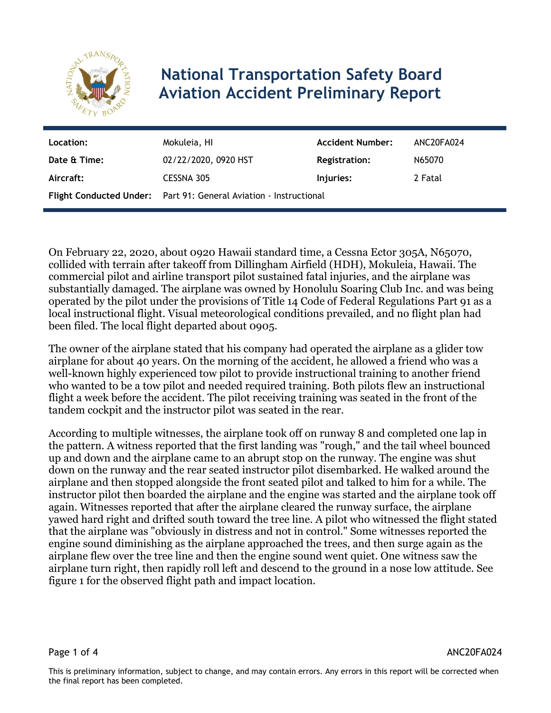

## **National Transportation Safety Board Aviation Accident Preliminary Report**

| Location:    | Mokuleia, HI                                                      | <b>Accident Number:</b> | ANC20FA024 |
|--------------|-------------------------------------------------------------------|-------------------------|------------|
| Date & Time: | 02/22/2020, 0920 HST                                              | <b>Registration:</b>    | N65070     |
| Aircraft:    | CESSNA 305                                                        | Injuries:               | 2 Fatal    |
|              | Flight Conducted Under: Part 91: General Aviation - Instructional |                         |            |

On February 22, 2020, about 0920 Hawaii standard time, a Cessna Ector 305A, N65070, collided with terrain after takeoff from Dillingham Airfield (HDH), Mokuleia, Hawaii. The commercial pilot and airline transport pilot sustained fatal injuries, and the airplane was substantially damaged. The airplane was owned by Honolulu Soaring Club Inc. and was being operated by the pilot under the provisions of Title 14 Code of Federal Regulations Part 91 as a local instructional flight. Visual meteorological conditions prevailed, and no flight plan had been filed. The local flight departed about 0905.

The owner of the airplane stated that his company had operated the airplane as a glider tow airplane for about 40 years. On the morning of the accident, he allowed a friend who was a well-known highly experienced tow pilot to provide instructional training to another friend who wanted to be a tow pilot and needed required training. Both pilots flew an instructional flight a week before the accident. The pilot receiving training was seated in the front of the tandem cockpit and the instructor pilot was seated in the rear.

According to multiple witnesses, the airplane took off on runway 8 and completed one lap in the pattern. A witness reported that the first landing was "rough," and the tail wheel bounced up and down and the airplane came to an abrupt stop on the runway. The engine was shut down on the runway and the rear seated instructor pilot disembarked. He walked around the airplane and then stopped alongside the front seated pilot and talked to him for a while. The instructor pilot then boarded the airplane and the engine was started and the airplane took off again. Witnesses reported that after the airplane cleared the runway surface, the airplane yawed hard right and drifted south toward the tree line. A pilot who witnessed the flight stated that the airplane was "obviously in distress and not in control." Some witnesses reported the engine sound diminishing as the airplane approached the trees, and then surge again as the airplane flew over the tree line and then the engine sound went quiet. One witness saw the airplane turn right, then rapidly roll left and descend to the ground in a nose low attitude. See figure 1 for the observed flight path and impact location.

Page 1 of 4 ANC20FA024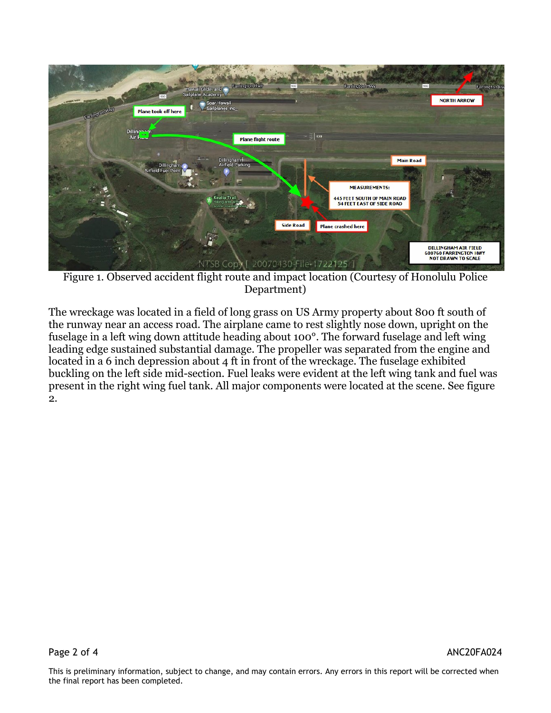

Figure 1. Observed accident flight route and impact location (Courtesy of Honolulu Police Department)

The wreckage was located in a field of long grass on US Army property about 800 ft south of the runway near an access road. The airplane came to rest slightly nose down, upright on the fuselage in a left wing down attitude heading about 100°. The forward fuselage and left wing leading edge sustained substantial damage. The propeller was separated from the engine and located in a 6 inch depression about 4 ft in front of the wreckage. The fuselage exhibited buckling on the left side mid-section. Fuel leaks were evident at the left wing tank and fuel was present in the right wing fuel tank. All major components were located at the scene. See figure 2.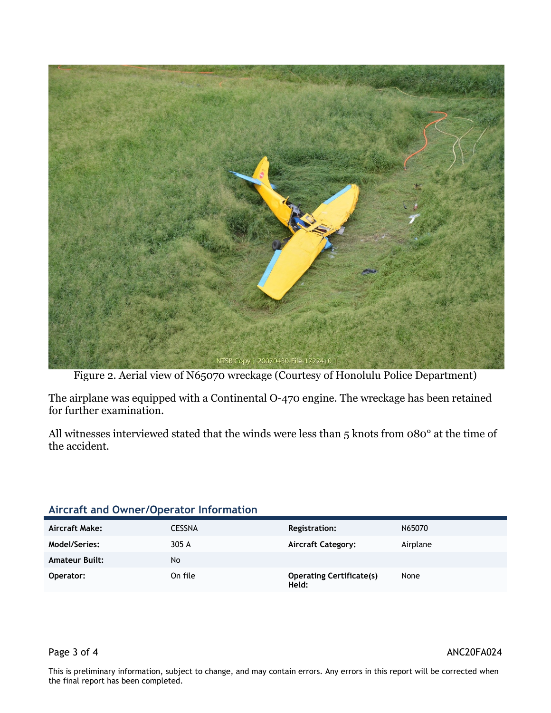

Figure 2. Aerial view of N65070 wreckage (Courtesy of Honolulu Police Department)

The airplane was equipped with a Continental O-470 engine. The wreckage has been retained for further examination.

All witnesses interviewed stated that the winds were less than 5 knots from 080° at the time of the accident.

## **Aircraft and Owner/Operator Information**

| Aircraft Make:        | <b>CESSNA</b> | Registration:                            | N65070   |
|-----------------------|---------------|------------------------------------------|----------|
| Model/Series:         | 305 A         | <b>Aircraft Category:</b>                | Airplane |
| <b>Amateur Built:</b> | No            |                                          |          |
| Operator:             | On file       | <b>Operating Certificate(s)</b><br>Held: | None     |